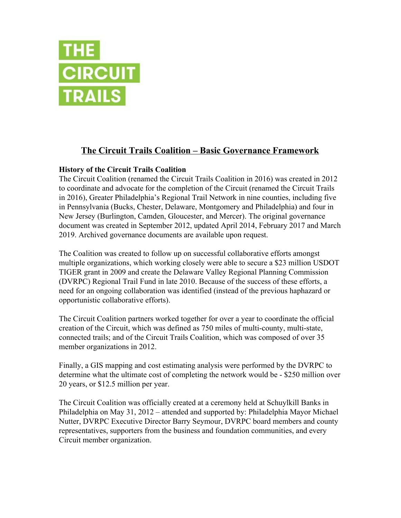

# **The Circuit Trails Coalition – Basic Governance Framework**

## **History of the Circuit Trails Coalition**

The Circuit Coalition (renamed the Circuit Trails Coalition in 2016) was created in 2012 to coordinate and advocate for the completion of the Circuit (renamed the Circuit Trails in 2016), Greater Philadelphia's Regional Trail Network in nine counties, including five in Pennsylvania (Bucks, Chester, Delaware, Montgomery and Philadelphia) and four in New Jersey (Burlington, Camden, Gloucester, and Mercer). The original governance document was created in September 2012, updated April 2014, February 2017 and March 2019. Archived governance documents are available upon request.

The Coalition was created to follow up on successful collaborative efforts amongst multiple organizations, which working closely were able to secure a \$23 million USDOT TIGER grant in 2009 and create the Delaware Valley Regional Planning Commission (DVRPC) Regional Trail Fund in late 2010. Because of the success of these efforts, a need for an ongoing collaboration was identified (instead of the previous haphazard or opportunistic collaborative efforts).

The Circuit Coalition partners worked together for over a year to coordinate the official creation of the Circuit, which was defined as 750 miles of multi-county, multi-state, connected trails; and of the Circuit Trails Coalition, which was composed of over 35 member organizations in 2012.

Finally, a GIS mapping and cost estimating analysis were performed by the DVRPC to determine what the ultimate cost of completing the network would be - \$250 million over 20 years, or \$12.5 million per year.

The Circuit Coalition was officially created at a ceremony held at Schuylkill Banks in Philadelphia on May 31, 2012 – attended and supported by: Philadelphia Mayor Michael Nutter, DVRPC Executive Director Barry Seymour, DVRPC board members and county representatives, supporters from the business and foundation communities, and every Circuit member organization.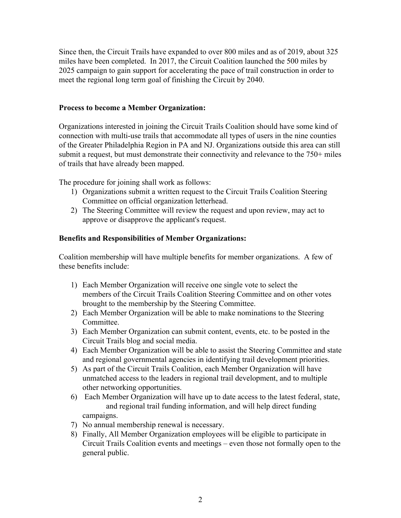Since then, the Circuit Trails have expanded to over 800 miles and as of 2019, about 325 miles have been completed. In 2017, the Circuit Coalition launched the 500 miles by 2025 campaign to gain support for accelerating the pace of trail construction in order to meet the regional long term goal of finishing the Circuit by 2040.

#### **Process to become a Member Organization:**

Organizations interested in joining the Circuit Trails Coalition should have some kind of connection with multi-use trails that accommodate all types of users in the nine counties of the Greater Philadelphia Region in PA and NJ. Organizations outside this area can still submit a request, but must demonstrate their connectivity and relevance to the 750+ miles of trails that have already been mapped.

The procedure for joining shall work as follows:

- 1) Organizations submit a written request to the Circuit Trails Coalition Steering Committee on official organization letterhead.
- 2) The Steering Committee will review the request and upon review, may act to approve or disapprove the applicant's request.

### **Benefits and Responsibilities of Member Organizations:**

Coalition membership will have multiple benefits for member organizations. A few of these benefits include:

- 1) Each Member Organization will receive one single vote to select the members of the Circuit Trails Coalition Steering Committee and on other votes brought to the membership by the Steering Committee.
- 2) Each Member Organization will be able to make nominations to the Steering Committee.
- 3) Each Member Organization can submit content, events, etc. to be posted in the Circuit Trails blog and social media.
- 4) Each Member Organization will be able to assist the Steering Committee and state and regional governmental agencies in identifying trail development priorities.
- 5) As part of the Circuit Trails Coalition, each Member Organization will have unmatched access to the leaders in regional trail development, and to multiple other networking opportunities.
- 6) Each Member Organization will have up to date access to the latest federal, state, and regional trail funding information, and will help direct funding campaigns.
- 7) No annual membership renewal is necessary.
- 8) Finally, All Member Organization employees will be eligible to participate in Circuit Trails Coalition events and meetings – even those not formally open to the general public.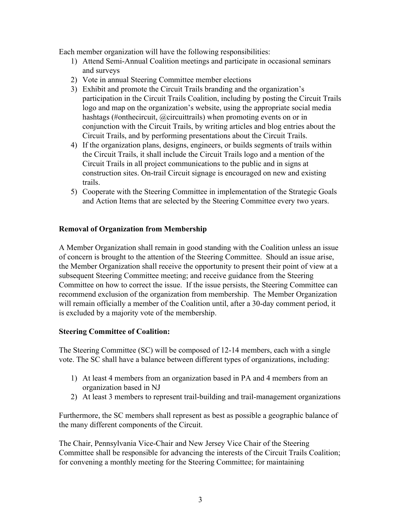Each member organization will have the following responsibilities:

- 1) Attend Semi-Annual Coalition meetings and participate in occasional seminars and surveys
- 2) Vote in annual Steering Committee member elections
- 3) Exhibit and promote the Circuit Trails branding and the organization's participation in the Circuit Trails Coalition, including by posting the Circuit Trails logo and map on the organization's website, using the appropriate social media hashtags (#onthecircuit, @circuittrails) when promoting events on or in conjunction with the Circuit Trails, by writing articles and blog entries about the Circuit Trails, and by performing presentations about the Circuit Trails.
- 4) If the organization plans, designs, engineers, or builds segments of trails within the Circuit Trails, it shall include the Circuit Trails logo and a mention of the Circuit Trails in all project communications to the public and in signs at construction sites. On-trail Circuit signage is encouraged on new and existing trails.
- 5) Cooperate with the Steering Committee in implementation of the Strategic Goals and Action Items that are selected by the Steering Committee every two years.

#### **Removal of Organization from Membership**

A Member Organization shall remain in good standing with the Coalition unless an issue of concern is brought to the attention of the Steering Committee. Should an issue arise, the Member Organization shall receive the opportunity to present their point of view at a subsequent Steering Committee meeting; and receive guidance from the Steering Committee on how to correct the issue. If the issue persists, the Steering Committee can recommend exclusion of the organization from membership. The Member Organization will remain officially a member of the Coalition until, after a 30-day comment period, it is excluded by a majority vote of the membership.

#### **Steering Committee of Coalition:**

The Steering Committee (SC) will be composed of 12-14 members, each with a single vote. The SC shall have a balance between different types of organizations, including:

- 1) At least 4 members from an organization based in PA and 4 members from an organization based in NJ
- 2) At least 3 members to represent trail-building and trail-management organizations

Furthermore, the SC members shall represent as best as possible a geographic balance of the many different components of the Circuit.

The Chair, Pennsylvania Vice-Chair and New Jersey Vice Chair of the Steering Committee shall be responsible for advancing the interests of the Circuit Trails Coalition; for convening a monthly meeting for the Steering Committee; for maintaining